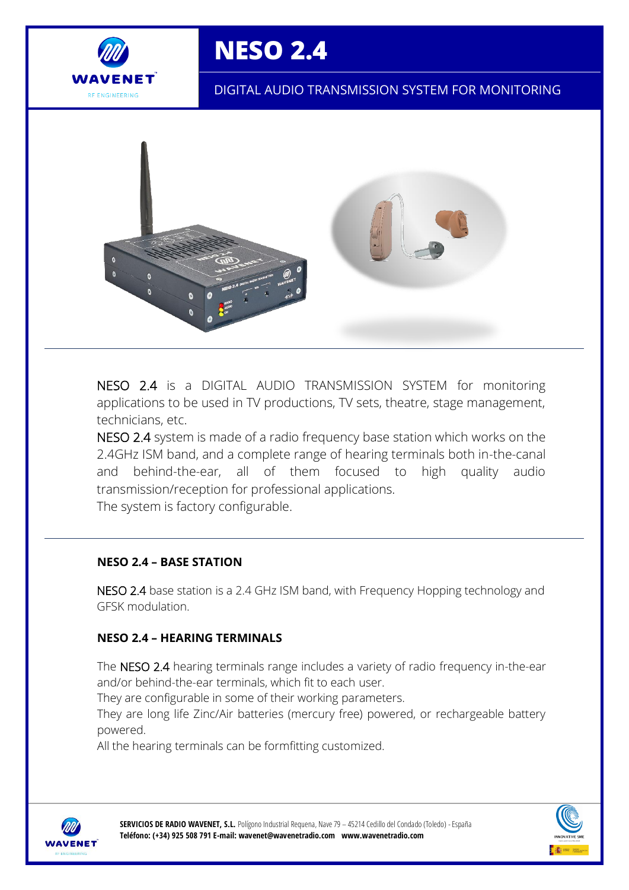

# **NESO 2.4**

DIGITAL AUDIO TRANSMISSION SYSTEM FOR MONITORING



NESO 2.4 is a DIGITAL AUDIO TRANSMISSION SYSTEM for monitoring applications to be used in TV productions, TV sets, theatre, stage management, technicians, etc.

NESO 2.4 system is made of a radio frequency base station which works on the 2.4GHz ISM band, and a complete range of hearing terminals both in-the-canal and behind-the-ear, all of them focused to high quality audio transmission/reception for professional applications. The system is factory configurable.

### **NESO 2.4 – BASE STATION**

NESO 2.4 base station is a 2.4 GHz ISM band, with Frequency Hopping technology and GFSK modulation.

### **NESO 2.4 – HEARING TERMINALS**

The NESO 2.4 hearing terminals range includes a variety of radio frequency in-the-ear and/or behind-the-ear terminals, which fit to each user.

They are configurable in some of their working parameters.

They are long life Zinc/Air batteries (mercury free) powered, or rechargeable battery powered.

All the hearing terminals can be formfitting customized.